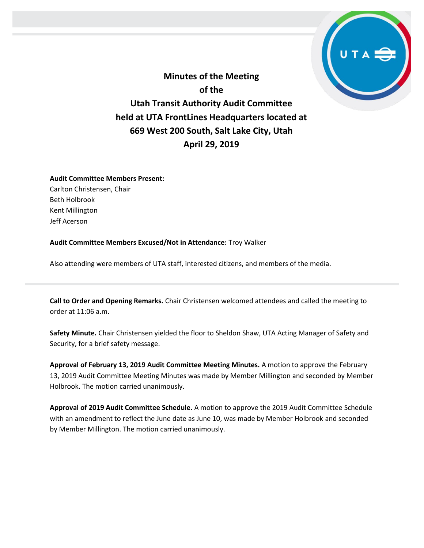

**Minutes of the Meeting of the Utah Transit Authority Audit Committee held at UTA FrontLines Headquarters located at 669 West 200 South, Salt Lake City, Utah April 29, 2019**

## **Audit Committee Members Present:**

Carlton Christensen, Chair Beth Holbrook Kent Millington Jeff Acerson

**Audit Committee Members Excused/Not in Attendance:** Troy Walker

Also attending were members of UTA staff, interested citizens, and members of the media.

**Call to Order and Opening Remarks.** Chair Christensen welcomed attendees and called the meeting to order at 11:06 a.m.

**Safety Minute.** Chair Christensen yielded the floor to Sheldon Shaw, UTA Acting Manager of Safety and Security, for a brief safety message.

**Approval of February 13, 2019 Audit Committee Meeting Minutes.** A motion to approve the February 13, 2019 Audit Committee Meeting Minutes was made by Member Millington and seconded by Member Holbrook. The motion carried unanimously.

**Approval of 2019 Audit Committee Schedule.** A motion to approve the 2019 Audit Committee Schedule with an amendment to reflect the June date as June 10, was made by Member Holbrook and seconded by Member Millington. The motion carried unanimously.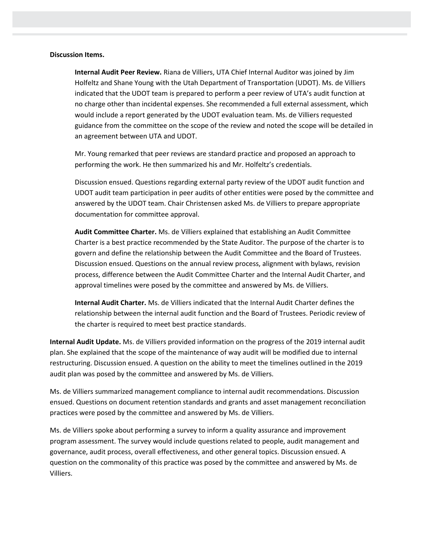## **Discussion Items.**

**Internal Audit Peer Review.** Riana de Villiers, UTA Chief Internal Auditor was joined by Jim Holfeltz and Shane Young with the Utah Department of Transportation (UDOT). Ms. de Villiers indicated that the UDOT team is prepared to perform a peer review of UTA's audit function at no charge other than incidental expenses. She recommended a full external assessment, which would include a report generated by the UDOT evaluation team. Ms. de Villiers requested guidance from the committee on the scope of the review and noted the scope will be detailed in an agreement between UTA and UDOT.

Mr. Young remarked that peer reviews are standard practice and proposed an approach to performing the work. He then summarized his and Mr. Holfeltz's credentials.

Discussion ensued. Questions regarding external party review of the UDOT audit function and UDOT audit team participation in peer audits of other entities were posed by the committee and answered by the UDOT team. Chair Christensen asked Ms. de Villiers to prepare appropriate documentation for committee approval.

**Audit Committee Charter.** Ms. de Villiers explained that establishing an Audit Committee Charter is a best practice recommended by the State Auditor. The purpose of the charter is to govern and define the relationship between the Audit Committee and the Board of Trustees. Discussion ensued. Questions on the annual review process, alignment with bylaws, revision process, difference between the Audit Committee Charter and the Internal Audit Charter, and approval timelines were posed by the committee and answered by Ms. de Villiers.

**Internal Audit Charter.** Ms. de Villiers indicated that the Internal Audit Charter defines the relationship between the internal audit function and the Board of Trustees. Periodic review of the charter is required to meet best practice standards.

**Internal Audit Update.** Ms. de Villiers provided information on the progress of the 2019 internal audit plan. She explained that the scope of the maintenance of way audit will be modified due to internal restructuring. Discussion ensued. A question on the ability to meet the timelines outlined in the 2019 audit plan was posed by the committee and answered by Ms. de Villiers.

Ms. de Villiers summarized management compliance to internal audit recommendations. Discussion ensued. Questions on document retention standards and grants and asset management reconciliation practices were posed by the committee and answered by Ms. de Villiers.

Ms. de Villiers spoke about performing a survey to inform a quality assurance and improvement program assessment. The survey would include questions related to people, audit management and governance, audit process, overall effectiveness, and other general topics. Discussion ensued. A question on the commonality of this practice was posed by the committee and answered by Ms. de Villiers.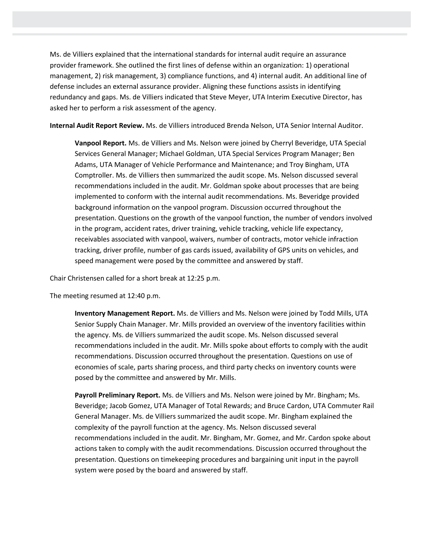Ms. de Villiers explained that the international standards for internal audit require an assurance provider framework. She outlined the first lines of defense within an organization: 1) operational management, 2) risk management, 3) compliance functions, and 4) internal audit. An additional line of defense includes an external assurance provider. Aligning these functions assists in identifying redundancy and gaps. Ms. de Villiers indicated that Steve Meyer, UTA Interim Executive Director, has asked her to perform a risk assessment of the agency.

**Internal Audit Report Review.** Ms. de Villiers introduced Brenda Nelson, UTA Senior Internal Auditor.

**Vanpool Report.** Ms. de Villiers and Ms. Nelson were joined by Cherryl Beveridge, UTA Special Services General Manager; Michael Goldman, UTA Special Services Program Manager; Ben Adams, UTA Manager of Vehicle Performance and Maintenance; and Troy Bingham, UTA Comptroller. Ms. de Villiers then summarized the audit scope. Ms. Nelson discussed several recommendations included in the audit. Mr. Goldman spoke about processes that are being implemented to conform with the internal audit recommendations. Ms. Beveridge provided background information on the vanpool program. Discussion occurred throughout the presentation. Questions on the growth of the vanpool function, the number of vendors involved in the program, accident rates, driver training, vehicle tracking, vehicle life expectancy, receivables associated with vanpool, waivers, number of contracts, motor vehicle infraction tracking, driver profile, number of gas cards issued, availability of GPS units on vehicles, and speed management were posed by the committee and answered by staff.

Chair Christensen called for a short break at 12:25 p.m.

The meeting resumed at 12:40 p.m.

**Inventory Management Report.** Ms. de Villiers and Ms. Nelson were joined by Todd Mills, UTA Senior Supply Chain Manager. Mr. Mills provided an overview of the inventory facilities within the agency. Ms. de Villiers summarized the audit scope. Ms. Nelson discussed several recommendations included in the audit. Mr. Mills spoke about efforts to comply with the audit recommendations. Discussion occurred throughout the presentation. Questions on use of economies of scale, parts sharing process, and third party checks on inventory counts were posed by the committee and answered by Mr. Mills.

**Payroll Preliminary Report.** Ms. de Villiers and Ms. Nelson were joined by Mr. Bingham; Ms. Beveridge; Jacob Gomez, UTA Manager of Total Rewards; and Bruce Cardon, UTA Commuter Rail General Manager. Ms. de Villiers summarized the audit scope. Mr. Bingham explained the complexity of the payroll function at the agency. Ms. Nelson discussed several recommendations included in the audit. Mr. Bingham, Mr. Gomez, and Mr. Cardon spoke about actions taken to comply with the audit recommendations. Discussion occurred throughout the presentation. Questions on timekeeping procedures and bargaining unit input in the payroll system were posed by the board and answered by staff.